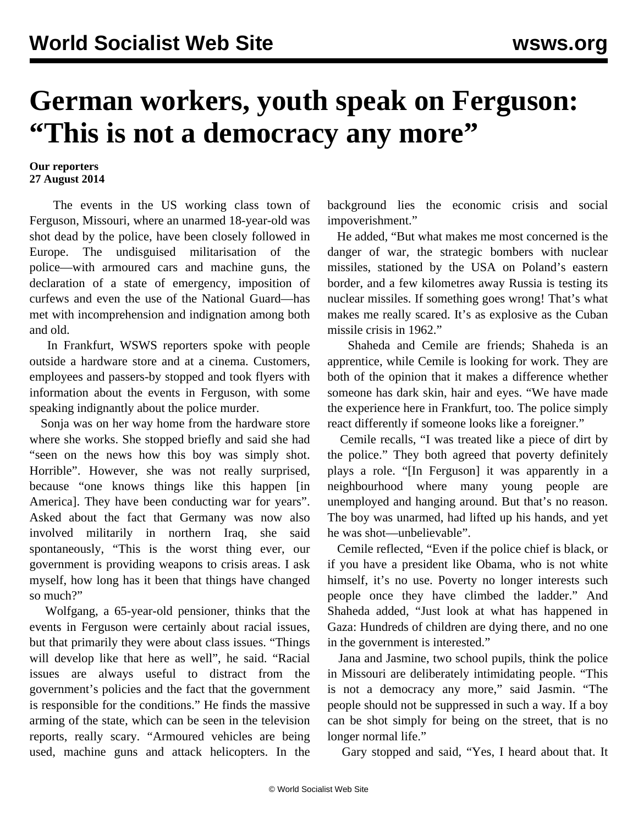## **German workers, youth speak on Ferguson: "This is not a democracy any more"**

## **Our reporters 27 August 2014**

 The events in the US working class town of Ferguson, Missouri, where an unarmed 18-year-old was shot dead by the police, have been closely followed in Europe. The undisguised militarisation of the police—with armoured cars and machine guns, the declaration of a state of emergency, imposition of curfews and even the use of the National Guard—has met with incomprehension and indignation among both and old.

 In Frankfurt, WSWS reporters spoke with people outside a hardware store and at a cinema. Customers, employees and passers-by stopped and took flyers with information about the events in Ferguson, with some speaking indignantly about the police murder.

 Sonja was on her way home from the hardware store where she works. She stopped briefly and said she had "seen on the news how this boy was simply shot. Horrible". However, she was not really surprised, because "one knows things like this happen [in America]. They have been conducting war for years". Asked about the fact that Germany was now also involved militarily in northern Iraq, she said spontaneously, "This is the worst thing ever, our government is providing weapons to crisis areas. I ask myself, how long has it been that things have changed so much?"

 Wolfgang, a 65-year-old pensioner, thinks that the events in Ferguson were certainly about racial issues, but that primarily they were about class issues. "Things will develop like that here as well", he said. "Racial issues are always useful to distract from the government's policies and the fact that the government is responsible for the conditions." He finds the massive arming of the state, which can be seen in the television reports, really scary. "Armoured vehicles are being used, machine guns and attack helicopters. In the

background lies the economic crisis and social impoverishment."

 He added, "But what makes me most concerned is the danger of war, the strategic bombers with nuclear missiles, stationed by the USA on Poland's eastern border, and a few kilometres away Russia is testing its nuclear missiles. If something goes wrong! That's what makes me really scared. It's as explosive as the Cuban missile crisis in 1962."

 Shaheda and Cemile are friends; Shaheda is an apprentice, while Cemile is looking for work. They are both of the opinion that it makes a difference whether someone has dark skin, hair and eyes. "We have made the experience here in Frankfurt, too. The police simply react differently if someone looks like a foreigner."

 Cemile recalls, "I was treated like a piece of dirt by the police." They both agreed that poverty definitely plays a role. "[In Ferguson] it was apparently in a neighbourhood where many young people are unemployed and hanging around. But that's no reason. The boy was unarmed, had lifted up his hands, and yet he was shot—unbelievable".

 Cemile reflected, "Even if the police chief is black, or if you have a president like Obama, who is not white himself, it's no use. Poverty no longer interests such people once they have climbed the ladder." And Shaheda added, "Just look at what has happened in Gaza: Hundreds of children are dying there, and no one in the government is interested."

 Jana and Jasmine, two school pupils, think the police in Missouri are deliberately intimidating people. "This is not a democracy any more," said Jasmin. "The people should not be suppressed in such a way. If a boy can be shot simply for being on the street, that is no longer normal life."

Gary stopped and said, "Yes, I heard about that. It